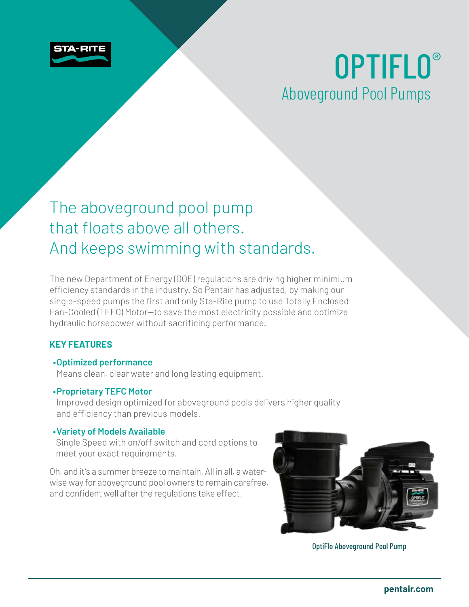

# OPTIFLO® Aboveground Pool Pumps

## The aboveground pool pump that floats above all others. And keeps swimming with standards.

The new Department of Energy (DOE) regulations are driving higher minimium efficiency standards in the industry. So Pentair has adjusted, by making our single-speed pumps the first and only Sta-Rite pump to use Totally Enclosed Fan-Cooled (TEFC) Motor—to save the most electricity possible and optimize hydraulic horsepower without sacrificing performance.

### **KEY FEATURES**

### **• Optimized performance**

Means clean, clear water and long lasting equipment.

### **• Proprietary TEFC Motor**

Improved design optimized for aboveground pools delivers higher quality and efficiency than previous models.

### **•Variety of Models Available**

Single Speed with on/off switch and cord options to meet your exact requirements.

Oh, and it's a summer breeze to maintain. All in all, a waterwise way for aboveground pool owners to remain carefree, and confident well after the regulations take effect.



OptiFlo Aboveground Pool Pump